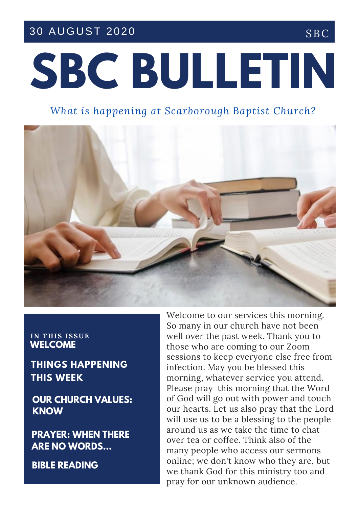#### 30 AUGUST 2020 SBC

# **SBC BULLETIN**

#### *What is happening at Scarborough Baptist Church?*



#### **IN T H IS ISSUE WELCOME**

**THINGS HAPPENING THIS WEEK**

**OUR CHURCH VALUES: KNOW**

**PRAYER: WHEN THERE ARE NO WORDS...**

**BIBLE READING**

Welcome to our services this morning. So many in our church have not been well over the past week. Thank you to those who are coming to our Zoom sessions to keep everyone else free from infection. May you be blessed this morning, whatever service you attend. Please pray this morning that the Word of God will go out with power and touch our hearts. Let us also pray that the Lord will use us to be a blessing to the people around us as we take the time to chat over tea or coffee. Think also of the many people who access our sermons online; we don't know who they are, but we thank God for this ministry too and pray for our unknown audience.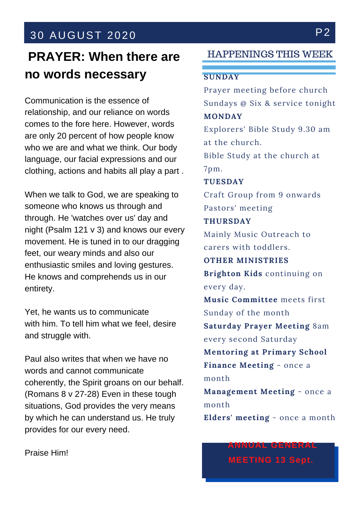### 30 AUGUST 2020 P2

## **PRAYER: When there are no words necessary**

clothing, actions and habits all play a part . language, our facial expressions and our LOVE comes to the fore here. However, words Communication is the essence of relationship, and our reliance on words are only 20 percent of how people know who we are and what we think. Our body

When we talk to God, we are speaking to someone who knows us through and through. He 'watches over us' day and night (Psalm 121 v 3) and knows our every movement. He is tuned in to our dragging feet, our weary minds and also our enthusiastic smiles and loving gestures. He knows and comprehends us in our entirety.

Yet, he wants us to communicate with him. To tell him what we feel, desire and struggle with.

Paul also writes that when we have no words and cannot communicate coherently, the Spirit groans on our behalf. (Romans 8 v 27-28) Even in these tough situations, God provides the very means by which he can understand us. He truly provides for our every need.

HAPPENINGS THIS WEEK

#### **SUNDAY**

Prayer meeting before church Sundays @ Six & service tonight **MONDAY** Explorers' Bible Study 9.30 am at the church. Bible Study at the church at 7pm. **TUESDAY** Craft Group from 9 onwards Pastors' meeting **THURSDAY** Mainly Music Outreach to carers with toddlers. **OTHER MINISTRIES Brighton Kids** continuing on every day. **Music Committee** meets first Sunday of the month **Saturday Prayer Meeting** 8am every second Saturday **Mentoring at Primary School Finance Meeting** - once a month **Management Meeting** - once a month **Elders' meeting** - once a month

Praise Him!

**MEETING 13 Sept.**

**ANNUAL GENERAL**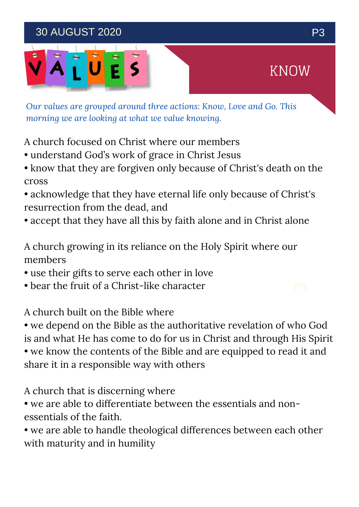### 30 AUGUST 2020 P3



*Our values are grouped around three actions: Know, Love and Go. This morning we are looking at what we value knowing.*

A church focused on Christ where our members

- understand God's work of grace in Christ Jesus
- know that they are forgiven only because of Christ's death on the cross
- acknowledge that they have eternal life only because of Christ's resurrection from the dead, and
- accept that they have all this by faith alone and in Christ alone

A church growing in its reliance on the Holy Spirit where our members

- use their gifts to serve each other in love
- bear the fruit of a Christ-like character

A church built on the Bible where

- we depend on the Bible as the authoritative revelation of who God is and what He has come to do for us in Christ and through His Spirit
- we know the contents of the Bible and are equipped to read it and share it in a responsible way with others

A church that is discerning where

- we are able to differentiate between the essentials and nonessentials of the faith.
- we are able to handle theological differences between each other with maturity and in humility

KNOW